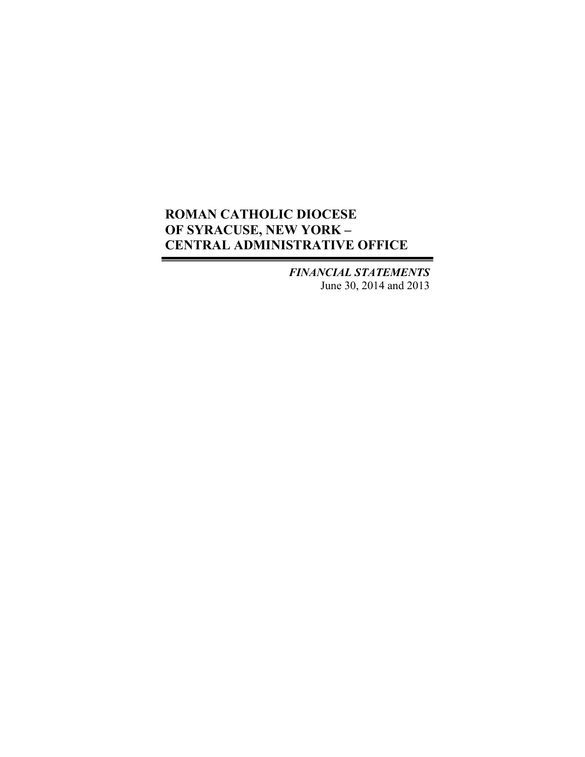*FINANCIAL STATEMENTS* June 30, 2014 and 2013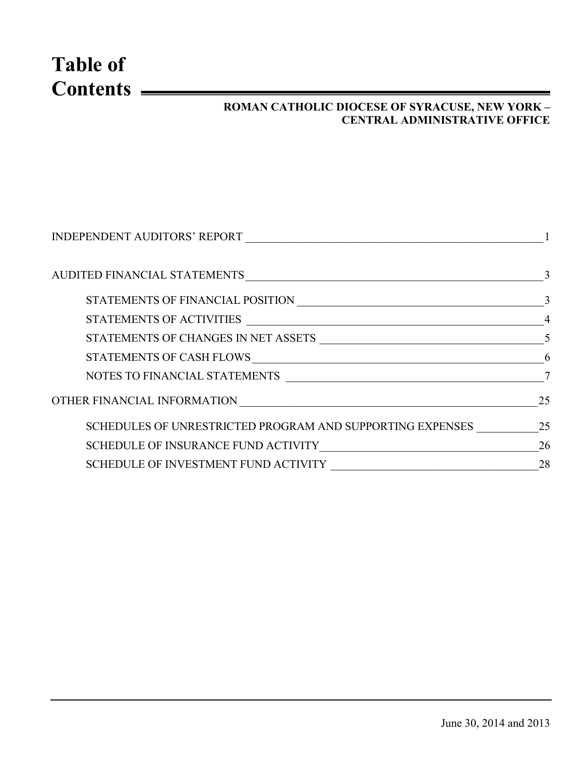# **Table of Contents**

# **ROMAN CATHOLIC DIOCESE OF SYRACUSE, NEW YORK – CENTRAL ADMINISTRATIVE OFFICE**

| <b>INDEPENDENT AUDITORS' REPORT</b>                                                                                                                                                                                            |                          |
|--------------------------------------------------------------------------------------------------------------------------------------------------------------------------------------------------------------------------------|--------------------------|
| AUDITED FINANCIAL STATEMENTS                                                                                                                                                                                                   |                          |
| STATEMENTS OF FINANCIAL POSITION                                                                                                                                                                                               | $\overline{\phantom{a}}$ |
| STATEMENTS OF ACTIVITIES                                                                                                                                                                                                       | $\overline{4}$           |
| STATEMENTS OF CHANGES IN NET ASSETS 5                                                                                                                                                                                          |                          |
|                                                                                                                                                                                                                                | 6                        |
| NOTES TO FINANCIAL STATEMENTS                                                                                                                                                                                                  | $\overline{7}$           |
| OTHER FINANCIAL INFORMATION POSTAGE AND THE RESERVE TO THE RESERVE THE RESERVE TO THE RESERVE THE RESERVE THE RESERVE THE RESERVE THAT A LIMIT OF THE RESERVE THAT A LIMIT OF THE RESERVE THAT A LIMIT OF THE RESERVE THAT A L | 25                       |
| SCHEDULES OF UNRESTRICTED PROGRAM AND SUPPORTING EXPENSES                                                                                                                                                                      | 25                       |
|                                                                                                                                                                                                                                | 26                       |
| SCHEDULE OF INVESTMENT FUND ACTIVITY<br><u> 1989 - Johann Barbara, martxa alemaniar a</u>                                                                                                                                      | 28                       |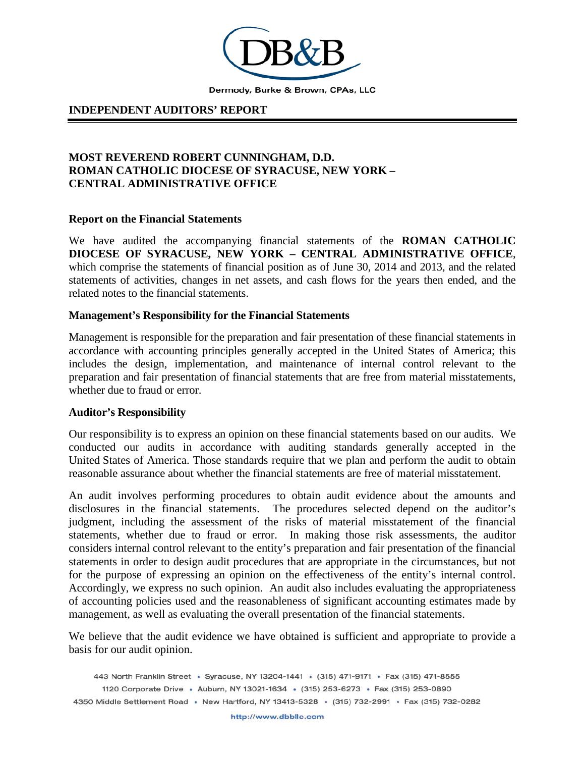

## **INDEPENDENT AUDITORS' REPORT**

## **MOST REVEREND ROBERT CUNNINGHAM, D.D. ROMAN CATHOLIC DIOCESE OF SYRACUSE, NEW YORK – CENTRAL ADMINISTRATIVE OFFICE**

### **Report on the Financial Statements**

We have audited the accompanying financial statements of the **ROMAN CATHOLIC DIOCESE OF SYRACUSE, NEW YORK – CENTRAL ADMINISTRATIVE OFFICE**, which comprise the statements of financial position as of June 30, 2014 and 2013, and the related statements of activities, changes in net assets, and cash flows for the years then ended, and the related notes to the financial statements.

### **Management's Responsibility for the Financial Statements**

Management is responsible for the preparation and fair presentation of these financial statements in accordance with accounting principles generally accepted in the United States of America; this includes the design, implementation, and maintenance of internal control relevant to the preparation and fair presentation of financial statements that are free from material misstatements, whether due to fraud or error.

#### **Auditor's Responsibility**

Our responsibility is to express an opinion on these financial statements based on our audits. We conducted our audits in accordance with auditing standards generally accepted in the United States of America. Those standards require that we plan and perform the audit to obtain reasonable assurance about whether the financial statements are free of material misstatement.

An audit involves performing procedures to obtain audit evidence about the amounts and disclosures in the financial statements. The procedures selected depend on the auditor's judgment, including the assessment of the risks of material misstatement of the financial statements, whether due to fraud or error. In making those risk assessments, the auditor considers internal control relevant to the entity's preparation and fair presentation of the financial statements in order to design audit procedures that are appropriate in the circumstances, but not for the purpose of expressing an opinion on the effectiveness of the entity's internal control. Accordingly, we express no such opinion. An audit also includes evaluating the appropriateness of accounting policies used and the reasonableness of significant accounting estimates made by management, as well as evaluating the overall presentation of the financial statements.

We believe that the audit evidence we have obtained is sufficient and appropriate to provide a basis for our audit opinion.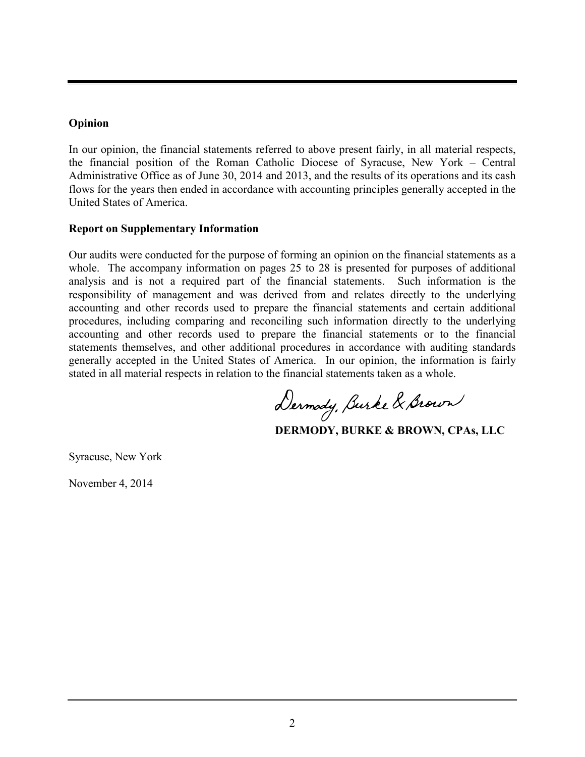### **Opinion**

In our opinion, the financial statements referred to above present fairly, in all material respects, the financial position of the Roman Catholic Diocese of Syracuse, New York – Central Administrative Office as of June 30, 2014 and 2013, and the results of its operations and its cash flows for the years then ended in accordance with accounting principles generally accepted in the United States of America.

### **Report on Supplementary Information**

Our audits were conducted for the purpose of forming an opinion on the financial statements as a whole. The accompany information on pages 25 to 28 is presented for purposes of additional analysis and is not a required part of the financial statements. Such information is the responsibility of management and was derived from and relates directly to the underlying accounting and other records used to prepare the financial statements and certain additional procedures, including comparing and reconciling such information directly to the underlying accounting and other records used to prepare the financial statements or to the financial statements themselves, and other additional procedures in accordance with auditing standards generally accepted in the United States of America. In our opinion, the information is fairly stated in all material respects in relation to the financial statements taken as a whole.

Dermody, Burke & Brown

**DERMODY, BURKE & BROWN, CPAs, LLC**

Syracuse, New York

November 4, 2014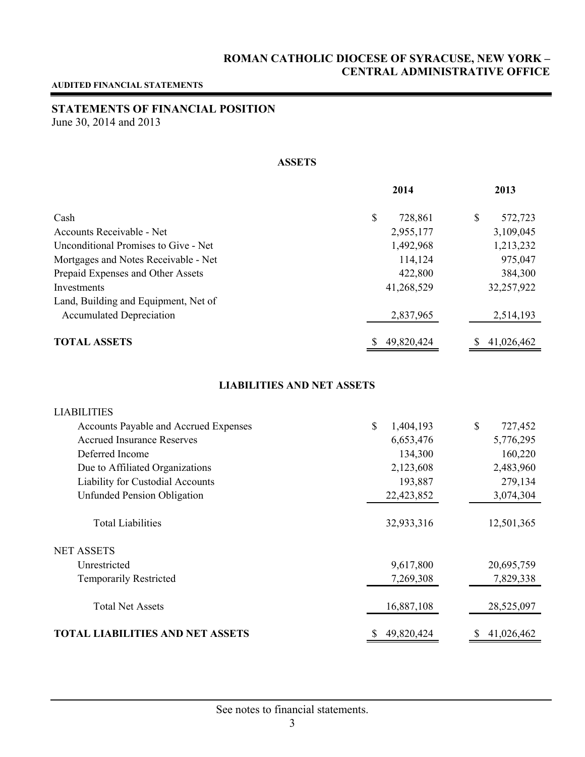#### **AUDITED FINANCIAL STATEMENTS**

# **STATEMENTS OF FINANCIAL POSITION**

June 30, 2014 and 2013

 $\mathbf{L}$ 

### **ASSETS**

|                                             | 2014          | 2013          |
|---------------------------------------------|---------------|---------------|
| Cash                                        | \$<br>728,861 | \$<br>572,723 |
| Accounts Receivable - Net                   | 2,955,177     | 3,109,045     |
| <b>Unconditional Promises to Give - Net</b> | 1,492,968     | 1,213,232     |
| Mortgages and Notes Receivable - Net        | 114,124       | 975,047       |
| Prepaid Expenses and Other Assets           | 422,800       | 384,300       |
| Investments                                 | 41,268,529    | 32,257,922    |
| Land, Building and Equipment, Net of        |               |               |
| <b>Accumulated Depreciation</b>             | 2,837,965     | 2,514,193     |
| <b>TOTAL ASSETS</b>                         | 49,820,424    | 41,026,462    |

#### **LIABILITIES AND NET ASSETS**

| LIABILITIES                                  |                 |                         |
|----------------------------------------------|-----------------|-------------------------|
| <b>Accounts Payable and Accrued Expenses</b> | \$<br>1,404,193 | $\mathbb{S}$<br>727,452 |
| <b>Accrued Insurance Reserves</b>            | 6,653,476       | 5,776,295               |
| Deferred Income                              | 134,300         | 160,220                 |
| Due to Affiliated Organizations              | 2,123,608       | 2,483,960               |
| <b>Liability for Custodial Accounts</b>      | 193,887         | 279,134                 |
| <b>Unfunded Pension Obligation</b>           | 22,423,852      | 3,074,304               |
| <b>Total Liabilities</b>                     | 32,933,316      | 12,501,365              |
| <b>NET ASSETS</b>                            |                 |                         |
| Unrestricted                                 | 9,617,800       | 20,695,759              |
| <b>Temporarily Restricted</b>                | 7,269,308       | 7,829,338               |
| <b>Total Net Assets</b>                      | 16,887,108      | 28,525,097              |
| <b>TOTAL LIABILITIES AND NET ASSETS</b>      | 49,820,424      | 41,026,462              |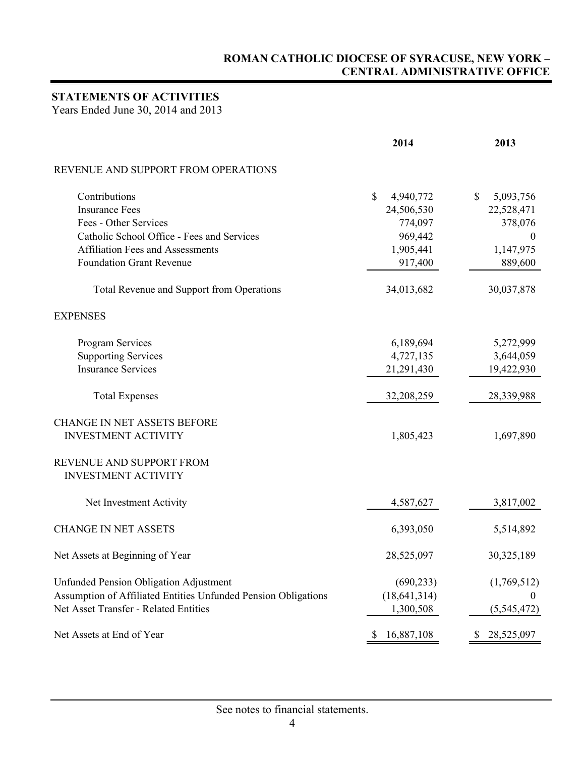# **STATEMENTS OF ACTIVITIES**

|                                                                                                                                                                                             | 2014                                                                                  | 2013                                                                                 |
|---------------------------------------------------------------------------------------------------------------------------------------------------------------------------------------------|---------------------------------------------------------------------------------------|--------------------------------------------------------------------------------------|
| REVENUE AND SUPPORT FROM OPERATIONS                                                                                                                                                         |                                                                                       |                                                                                      |
| Contributions<br><b>Insurance Fees</b><br>Fees - Other Services<br>Catholic School Office - Fees and Services<br><b>Affiliation Fees and Assessments</b><br><b>Foundation Grant Revenue</b> | $\mathbb{S}$<br>4,940,772<br>24,506,530<br>774,097<br>969,442<br>1,905,441<br>917,400 | \$<br>5,093,756<br>22,528,471<br>378,076<br>$\boldsymbol{0}$<br>1,147,975<br>889,600 |
| Total Revenue and Support from Operations                                                                                                                                                   | 34,013,682                                                                            | 30,037,878                                                                           |
| <b>EXPENSES</b>                                                                                                                                                                             |                                                                                       |                                                                                      |
| Program Services<br><b>Supporting Services</b><br><b>Insurance Services</b>                                                                                                                 | 6,189,694<br>4,727,135<br>21,291,430                                                  | 5,272,999<br>3,644,059<br>19,422,930                                                 |
| <b>Total Expenses</b>                                                                                                                                                                       | 32,208,259                                                                            | 28,339,988                                                                           |
| <b>CHANGE IN NET ASSETS BEFORE</b><br><b>INVESTMENT ACTIVITY</b>                                                                                                                            | 1,805,423                                                                             | 1,697,890                                                                            |
| REVENUE AND SUPPORT FROM<br><b>INVESTMENT ACTIVITY</b>                                                                                                                                      |                                                                                       |                                                                                      |
| Net Investment Activity                                                                                                                                                                     | 4,587,627                                                                             | 3,817,002                                                                            |
| <b>CHANGE IN NET ASSETS</b>                                                                                                                                                                 | 6,393,050                                                                             | 5,514,892                                                                            |
| Net Assets at Beginning of Year                                                                                                                                                             | 28,525,097                                                                            | 30,325,189                                                                           |
| <b>Unfunded Pension Obligation Adjustment</b><br>Assumption of Affiliated Entities Unfunded Pension Obligations<br>Net Asset Transfer - Related Entities                                    | (690, 233)<br>(18, 641, 314)<br>1,300,508                                             | (1,769,512)<br>$_{0}$<br>(5, 545, 472)                                               |
| Net Assets at End of Year                                                                                                                                                                   | 16,887,108<br>P                                                                       | 28,525,097                                                                           |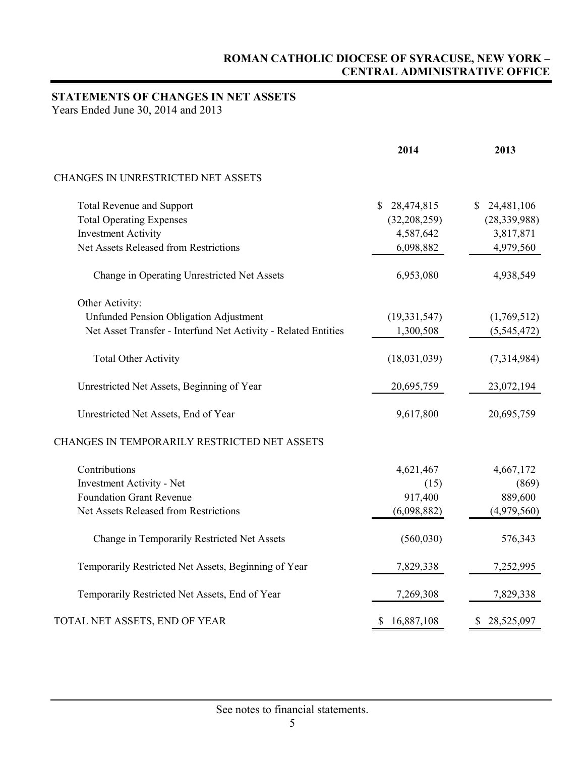# **STATEMENTS OF CHANGES IN NET ASSETS**

|                                                                | 2014             | 2013             |
|----------------------------------------------------------------|------------------|------------------|
| CHANGES IN UNRESTRICTED NET ASSETS                             |                  |                  |
| <b>Total Revenue and Support</b>                               | 28,474,815<br>S. | 24,481,106<br>S. |
| <b>Total Operating Expenses</b>                                | (32, 208, 259)   | (28, 339, 988)   |
| <b>Investment Activity</b>                                     | 4,587,642        | 3,817,871        |
| Net Assets Released from Restrictions                          | 6,098,882        | 4,979,560        |
| Change in Operating Unrestricted Net Assets                    | 6,953,080        | 4,938,549        |
| Other Activity:                                                |                  |                  |
| <b>Unfunded Pension Obligation Adjustment</b>                  | (19, 331, 547)   | (1,769,512)      |
| Net Asset Transfer - Interfund Net Activity - Related Entities | 1,300,508        | (5, 545, 472)    |
| <b>Total Other Activity</b>                                    | (18,031,039)     | (7,314,984)      |
| Unrestricted Net Assets, Beginning of Year                     | 20,695,759       | 23,072,194       |
| Unrestricted Net Assets, End of Year                           | 9,617,800        | 20,695,759       |
| CHANGES IN TEMPORARILY RESTRICTED NET ASSETS                   |                  |                  |
| Contributions                                                  | 4,621,467        | 4,667,172        |
| <b>Investment Activity - Net</b>                               | (15)             | (869)            |
| <b>Foundation Grant Revenue</b>                                | 917,400          | 889,600          |
| Net Assets Released from Restrictions                          | (6,098,882)      | (4,979,560)      |
| Change in Temporarily Restricted Net Assets                    | (560, 030)       | 576,343          |
| Temporarily Restricted Net Assets, Beginning of Year           | 7,829,338        | 7,252,995        |
| Temporarily Restricted Net Assets, End of Year                 | 7,269,308        | 7,829,338        |
| TOTAL NET ASSETS, END OF YEAR                                  | 16,887,108<br>\$ | 28,525,097<br>\$ |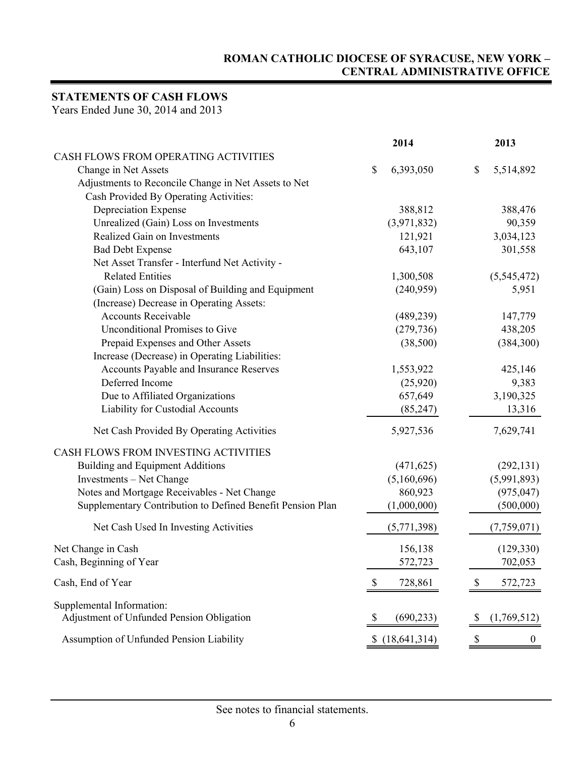# **STATEMENTS OF CASH FLOWS**

|                                                            | 2014             |    | 2013             |
|------------------------------------------------------------|------------------|----|------------------|
| CASH FLOWS FROM OPERATING ACTIVITIES                       |                  |    |                  |
| Change in Net Assets                                       | \$<br>6,393,050  | \$ | 5,514,892        |
| Adjustments to Reconcile Change in Net Assets to Net       |                  |    |                  |
| Cash Provided By Operating Activities:                     |                  |    |                  |
| <b>Depreciation Expense</b>                                | 388,812          |    | 388,476          |
| Unrealized (Gain) Loss on Investments                      | (3,971,832)      |    | 90,359           |
| Realized Gain on Investments                               | 121,921          |    | 3,034,123        |
| <b>Bad Debt Expense</b>                                    | 643,107          |    | 301,558          |
| Net Asset Transfer - Interfund Net Activity -              |                  |    |                  |
| <b>Related Entities</b>                                    | 1,300,508        |    | (5,545,472)      |
| (Gain) Loss on Disposal of Building and Equipment          | (240,959)        |    | 5,951            |
| (Increase) Decrease in Operating Assets:                   |                  |    |                  |
| <b>Accounts Receivable</b>                                 | (489, 239)       |    | 147,779          |
| <b>Unconditional Promises to Give</b>                      | (279, 736)       |    | 438,205          |
| Prepaid Expenses and Other Assets                          | (38,500)         |    | (384, 300)       |
| Increase (Decrease) in Operating Liabilities:              |                  |    |                  |
| Accounts Payable and Insurance Reserves                    | 1,553,922        |    | 425,146          |
| Deferred Income                                            | (25,920)         |    | 9,383            |
| Due to Affiliated Organizations                            | 657,649          |    | 3,190,325        |
| Liability for Custodial Accounts                           | (85, 247)        |    | 13,316           |
| Net Cash Provided By Operating Activities                  | 5,927,536        |    | 7,629,741        |
| CASH FLOWS FROM INVESTING ACTIVITIES                       |                  |    |                  |
| <b>Building and Equipment Additions</b>                    | (471, 625)       |    | (292, 131)       |
| Investments - Net Change                                   | (5,160,696)      |    | (5,991,893)      |
| Notes and Mortgage Receivables - Net Change                | 860,923          |    | (975, 047)       |
| Supplementary Contribution to Defined Benefit Pension Plan | (1,000,000)      |    | (500,000)        |
| Net Cash Used In Investing Activities                      | (5,771,398)      |    | (7,759,071)      |
| Net Change in Cash                                         | 156,138          |    | (129, 330)       |
| Cash, Beginning of Year                                    | 572,723          |    | 702,053          |
|                                                            |                  |    |                  |
| Cash, End of Year                                          | \$<br>728,861    | S  | 572,723          |
| Supplemental Information:                                  |                  |    |                  |
| Adjustment of Unfunded Pension Obligation                  | \$<br>(690, 233) |    | (1,769,512)      |
| Assumption of Unfunded Pension Liability                   | \$(18,641,314)   | \$ | $\boldsymbol{0}$ |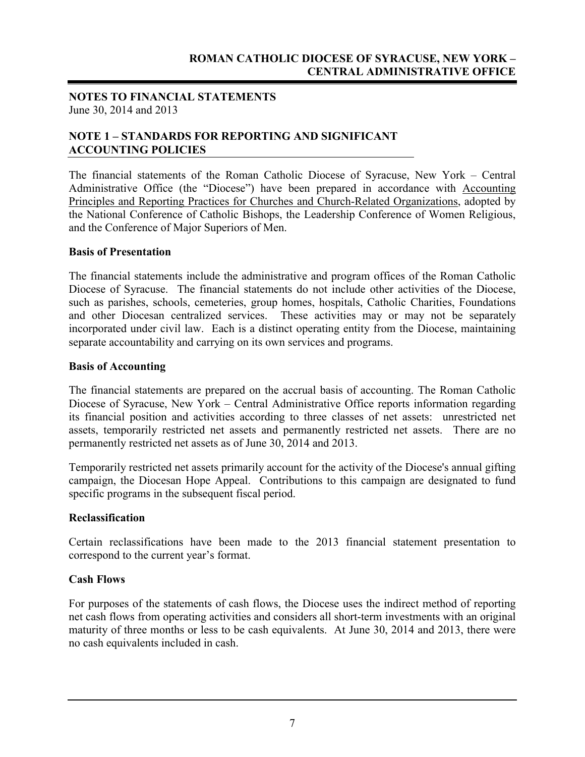# **NOTES TO FINANCIAL STATEMENTS** June 30, 2014 and 2013

# **NOTE 1 – STANDARDS FOR REPORTING AND SIGNIFICANT ACCOUNTING POLICIES**

The financial statements of the Roman Catholic Diocese of Syracuse, New York – Central Administrative Office (the "Diocese") have been prepared in accordance with Accounting Principles and Reporting Practices for Churches and Church-Related Organizations, adopted by the National Conference of Catholic Bishops, the Leadership Conference of Women Religious, and the Conference of Major Superiors of Men.

# **Basis of Presentation**

The financial statements include the administrative and program offices of the Roman Catholic Diocese of Syracuse. The financial statements do not include other activities of the Diocese, such as parishes, schools, cemeteries, group homes, hospitals, Catholic Charities, Foundations and other Diocesan centralized services. These activities may or may not be separately incorporated under civil law. Each is a distinct operating entity from the Diocese, maintaining separate accountability and carrying on its own services and programs.

# **Basis of Accounting**

The financial statements are prepared on the accrual basis of accounting. The Roman Catholic Diocese of Syracuse, New York – Central Administrative Office reports information regarding its financial position and activities according to three classes of net assets: unrestricted net assets, temporarily restricted net assets and permanently restricted net assets. There are no permanently restricted net assets as of June 30, 2014 and 2013.

Temporarily restricted net assets primarily account for the activity of the Diocese's annual gifting campaign, the Diocesan Hope Appeal. Contributions to this campaign are designated to fund specific programs in the subsequent fiscal period.

# **Reclassification**

Certain reclassifications have been made to the 2013 financial statement presentation to correspond to the current year's format.

# **Cash Flows**

For purposes of the statements of cash flows, the Diocese uses the indirect method of reporting net cash flows from operating activities and considers all short-term investments with an original maturity of three months or less to be cash equivalents. At June 30, 2014 and 2013, there were no cash equivalents included in cash.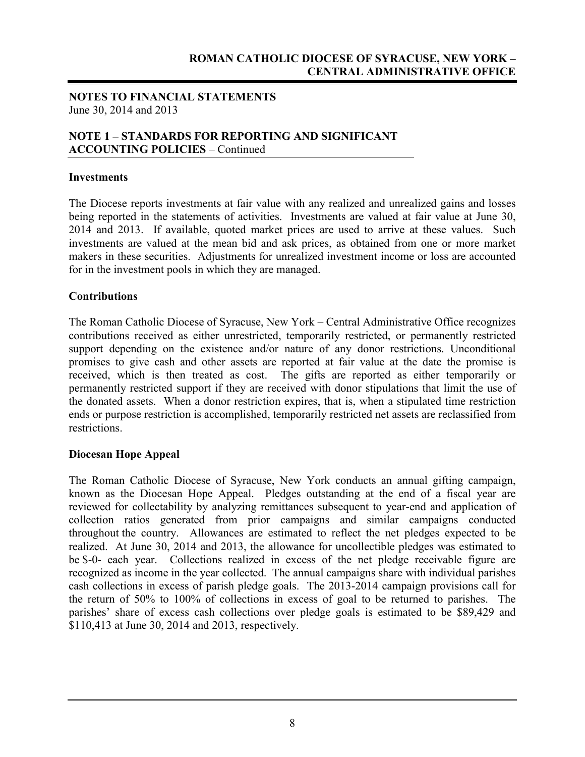### **NOTES TO FINANCIAL STATEMENTS** June 30, 2014 and 2013

### **NOTE 1 – STANDARDS FOR REPORTING AND SIGNIFICANT ACCOUNTING POLICIES** – Continued

### **Investments**

The Diocese reports investments at fair value with any realized and unrealized gains and losses being reported in the statements of activities. Investments are valued at fair value at June 30, 2014 and 2013. If available, quoted market prices are used to arrive at these values. Such investments are valued at the mean bid and ask prices, as obtained from one or more market makers in these securities. Adjustments for unrealized investment income or loss are accounted for in the investment pools in which they are managed.

### **Contributions**

The Roman Catholic Diocese of Syracuse, New York – Central Administrative Office recognizes contributions received as either unrestricted, temporarily restricted, or permanently restricted support depending on the existence and/or nature of any donor restrictions. Unconditional promises to give cash and other assets are reported at fair value at the date the promise is received, which is then treated as cost. The gifts are reported as either temporarily or permanently restricted support if they are received with donor stipulations that limit the use of the donated assets. When a donor restriction expires, that is, when a stipulated time restriction ends or purpose restriction is accomplished, temporarily restricted net assets are reclassified from restrictions.

### **Diocesan Hope Appeal**

The Roman Catholic Diocese of Syracuse, New York conducts an annual gifting campaign, known as the Diocesan Hope Appeal. Pledges outstanding at the end of a fiscal year are reviewed for collectability by analyzing remittances subsequent to year-end and application of collection ratios generated from prior campaigns and similar campaigns conducted throughout the country. Allowances are estimated to reflect the net pledges expected to be realized. At June 30, 2014 and 2013, the allowance for uncollectible pledges was estimated to be \$-0- each year. Collections realized in excess of the net pledge receivable figure are recognized as income in the year collected. The annual campaigns share with individual parishes cash collections in excess of parish pledge goals. The 2013-2014 campaign provisions call for the return of 50% to 100% of collections in excess of goal to be returned to parishes. The parishes' share of excess cash collections over pledge goals is estimated to be \$89,429 and \$110,413 at June 30, 2014 and 2013, respectively.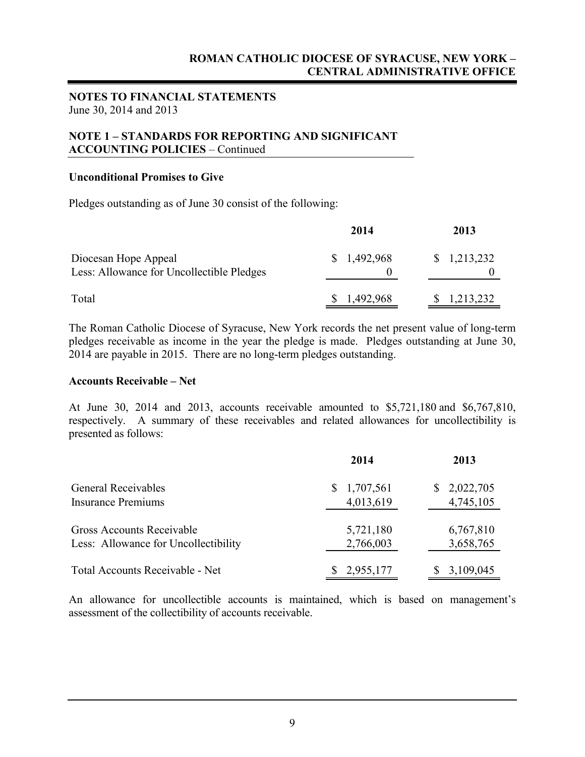### **NOTES TO FINANCIAL STATEMENTS** June 30, 2014 and 2013

### **NOTE 1 – STANDARDS FOR REPORTING AND SIGNIFICANT ACCOUNTING POLICIES** – Continued

### **Unconditional Promises to Give**

Pledges outstanding as of June 30 consist of the following:

|                                                                   | 2014        | 2013        |
|-------------------------------------------------------------------|-------------|-------------|
| Diocesan Hope Appeal<br>Less: Allowance for Uncollectible Pledges | \$1,492,968 | \$1,213,232 |
| Total                                                             | 1,492,968   | 1,213,232   |

The Roman Catholic Diocese of Syracuse, New York records the net present value of long-term pledges receivable as income in the year the pledge is made. Pledges outstanding at June 30, 2014 are payable in 2015. There are no long-term pledges outstanding.

### **Accounts Receivable – Net**

At June 30, 2014 and 2013, accounts receivable amounted to \$5,721,180 and \$6,767,810, respectively. A summary of these receivables and related allowances for uncollectibility is presented as follows:

|                                      | 2014            | 2013        |
|--------------------------------------|-----------------|-------------|
| General Receivables                  | 1,707,561<br>\$ | \$2,022,705 |
| <b>Insurance Premiums</b>            | 4,013,619       | 4,745,105   |
|                                      |                 |             |
| Gross Accounts Receivable            | 5,721,180       | 6,767,810   |
| Less: Allowance for Uncollectibility | 2,766,003       | 3,658,765   |
|                                      |                 |             |
| Total Accounts Receivable - Net      | 2,955,177       | 3,109,045   |

An allowance for uncollectible accounts is maintained, which is based on management's assessment of the collectibility of accounts receivable.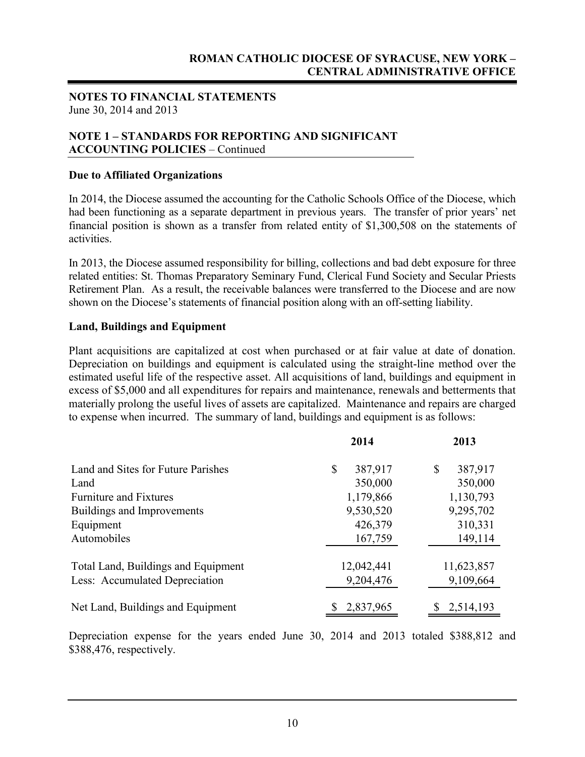### **NOTES TO FINANCIAL STATEMENTS** June 30, 2014 and 2013

## **NOTE 1 – STANDARDS FOR REPORTING AND SIGNIFICANT ACCOUNTING POLICIES** – Continued

### **Due to Affiliated Organizations**

In 2014, the Diocese assumed the accounting for the Catholic Schools Office of the Diocese, which had been functioning as a separate department in previous years. The transfer of prior years' net financial position is shown as a transfer from related entity of \$1,300,508 on the statements of activities.

In 2013, the Diocese assumed responsibility for billing, collections and bad debt exposure for three related entities: St. Thomas Preparatory Seminary Fund, Clerical Fund Society and Secular Priests Retirement Plan. As a result, the receivable balances were transferred to the Diocese and are now shown on the Diocese's statements of financial position along with an off-setting liability.

### **Land, Buildings and Equipment**

Plant acquisitions are capitalized at cost when purchased or at fair value at date of donation. Depreciation on buildings and equipment is calculated using the straight-line method over the estimated useful life of the respective asset. All acquisitions of land, buildings and equipment in excess of \$5,000 and all expenditures for repairs and maintenance, renewals and betterments that materially prolong the useful lives of assets are capitalized. Maintenance and repairs are charged to expense when incurred. The summary of land, buildings and equipment is as follows:

|                                     | 2014          | 2013          |
|-------------------------------------|---------------|---------------|
| Land and Sites for Future Parishes  | \$<br>387,917 | 387,917<br>\$ |
| Land                                | 350,000       | 350,000       |
| <b>Furniture and Fixtures</b>       | 1,179,866     | 1,130,793     |
| Buildings and Improvements          | 9,530,520     | 9,295,702     |
| Equipment                           | 426,379       | 310,331       |
| Automobiles                         | 167,759       | 149,114       |
| Total Land, Buildings and Equipment | 12,042,441    | 11,623,857    |
| Less: Accumulated Depreciation      | 9,204,476     | 9,109,664     |
| Net Land, Buildings and Equipment   | 2,837,965     | 2,514,193     |
|                                     |               |               |

Depreciation expense for the years ended June 30, 2014 and 2013 totaled \$388,812 and \$388,476, respectively.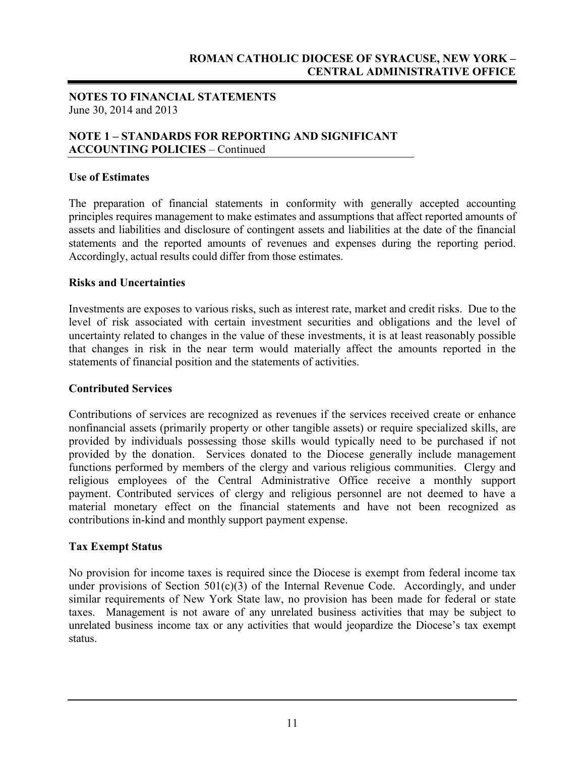## **NOTES TO FINANCIAL STATEMENTS** June 30, 2014 and 2013

# **NOTE 1 – STANDARDS FOR REPORTING AND SIGNIFICANT ACCOUNTING POLICIES** – Continued

### **Use of Estimates**

The preparation of financial statements in conformity with generally accepted accounting principles requires management to make estimates and assumptions that affect reported amounts of assets and liabilities and disclosure of contingent assets and liabilities at the date of the financial statements and the reported amounts of revenues and expenses during the reporting period. Accordingly, actual results could differ from those estimates.

### **Risks and Uncertainties**

Investments are exposes to various risks, such as interest rate, market and credit risks. Due to the level of risk associated with certain investment securities and obligations and the level of uncertainty related to changes in the value of these investments, it is at least reasonably possible that changes in risk in the near term would materially affect the amounts reported in the statements of financial position and the statements of activities.

### **Contributed Services**

Contributions of services are recognized as revenues if the services received create or enhance nonfinancial assets (primarily property or other tangible assets) or require specialized skills, are provided by individuals possessing those skills would typically need to be purchased if not provided by the donation. Services donated to the Diocese generally include management functions performed by members of the clergy and various religious communities. Clergy and religious employees of the Central Administrative Office receive a monthly support payment. Contributed services of clergy and religious personnel are not deemed to have a material monetary effect on the financial statements and have not been recognized as contributions in-kind and monthly support payment expense.

### **Tax Exempt Status**

No provision for income taxes is required since the Diocese is exempt from federal income tax under provisions of Section  $501(c)(3)$  of the Internal Revenue Code. Accordingly, and under similar requirements of New York State law, no provision has been made for federal or state taxes. Management is not aware of any unrelated business activities that may be subject to unrelated business income tax or any activities that would jeopardize the Diocese's tax exempt status.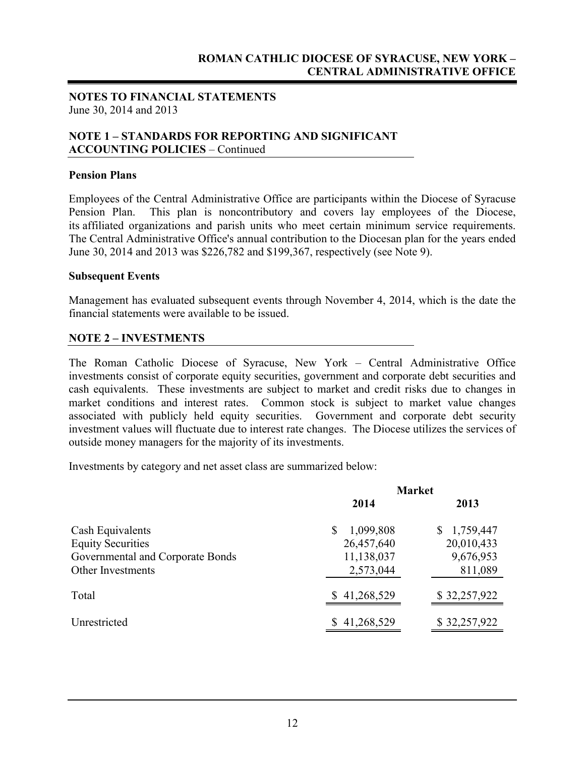### **NOTES TO FINANCIAL STATEMENTS** June 30, 2014 and 2013

### **NOTE 1 – STANDARDS FOR REPORTING AND SIGNIFICANT ACCOUNTING POLICIES** – Continued

### **Pension Plans**

Employees of the Central Administrative Office are participants within the Diocese of Syracuse Pension Plan. This plan is noncontributory and covers lay employees of the Diocese, its affiliated organizations and parish units who meet certain minimum service requirements. The Central Administrative Office's annual contribution to the Diocesan plan for the years ended June 30, 2014 and 2013 was \$226,782 and \$199,367, respectively (see Note 9).

### **Subsequent Events**

Management has evaluated subsequent events through November 4, 2014, which is the date the financial statements were available to be issued.

### **NOTE 2 – INVESTMENTS**

The Roman Catholic Diocese of Syracuse, New York – Central Administrative Office investments consist of corporate equity securities, government and corporate debt securities and cash equivalents. These investments are subject to market and credit risks due to changes in market conditions and interest rates. Common stock is subject to market value changes associated with publicly held equity securities. Government and corporate debt security investment values will fluctuate due to interest rate changes. The Diocese utilizes the services of outside money managers for the majority of its investments.

Investments by category and net asset class are summarized below:

|                                  | <b>Market</b>   |                 |  |
|----------------------------------|-----------------|-----------------|--|
|                                  | 2014            | 2013            |  |
| Cash Equivalents                 | 1,099,808<br>\$ | 1,759,447<br>S. |  |
| <b>Equity Securities</b>         | 26,457,640      | 20,010,433      |  |
| Governmental and Corporate Bonds | 11,138,037      | 9,676,953       |  |
| Other Investments                | 2,573,044       | 811,089         |  |
| Total                            | \$41,268,529    | \$32,257,922    |  |
| Unrestricted                     | 41,268,529      | \$32,257,922    |  |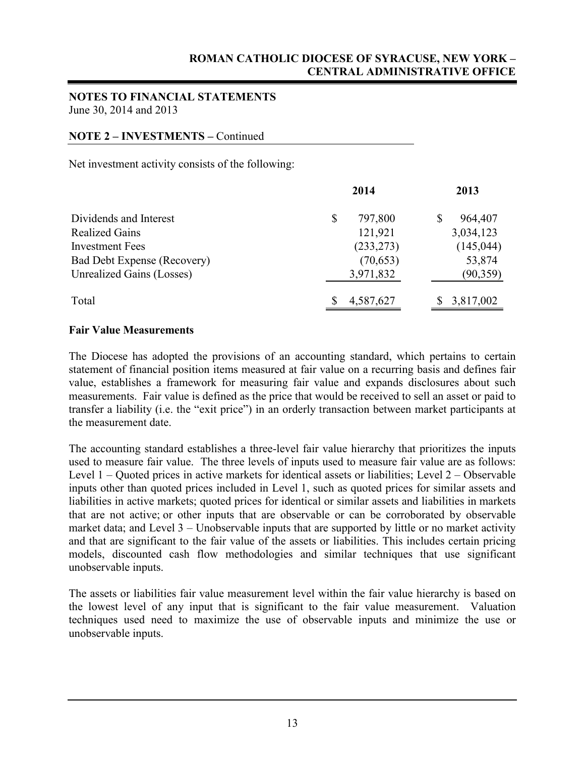### **NOTES TO FINANCIAL STATEMENTS** June 30, 2014 and 2013

# **NOTE 2 – INVESTMENTS –** Continued

Net investment activity consists of the following:

|                                  | 2014          |   | 2013       |
|----------------------------------|---------------|---|------------|
| Dividends and Interest           | \$<br>797,800 | S | 964,407    |
| <b>Realized Gains</b>            | 121,921       |   | 3,034,123  |
| <b>Investment Fees</b>           | (233, 273)    |   | (145, 044) |
| Bad Debt Expense (Recovery)      | (70, 653)     |   | 53,874     |
| <b>Unrealized Gains (Losses)</b> | 3,971,832     |   | (90, 359)  |
| Total                            | 4,587,627     |   | 3,817,002  |

### **Fair Value Measurements**

The Diocese has adopted the provisions of an accounting standard, which pertains to certain statement of financial position items measured at fair value on a recurring basis and defines fair value, establishes a framework for measuring fair value and expands disclosures about such measurements. Fair value is defined as the price that would be received to sell an asset or paid to transfer a liability (i.e. the "exit price") in an orderly transaction between market participants at the measurement date.

The accounting standard establishes a three-level fair value hierarchy that prioritizes the inputs used to measure fair value. The three levels of inputs used to measure fair value are as follows: Level 1 – Quoted prices in active markets for identical assets or liabilities; Level 2 – Observable inputs other than quoted prices included in Level 1, such as quoted prices for similar assets and liabilities in active markets; quoted prices for identical or similar assets and liabilities in markets that are not active; or other inputs that are observable or can be corroborated by observable market data; and Level 3 – Unobservable inputs that are supported by little or no market activity and that are significant to the fair value of the assets or liabilities. This includes certain pricing models, discounted cash flow methodologies and similar techniques that use significant unobservable inputs.

The assets or liabilities fair value measurement level within the fair value hierarchy is based on the lowest level of any input that is significant to the fair value measurement. Valuation techniques used need to maximize the use of observable inputs and minimize the use or unobservable inputs.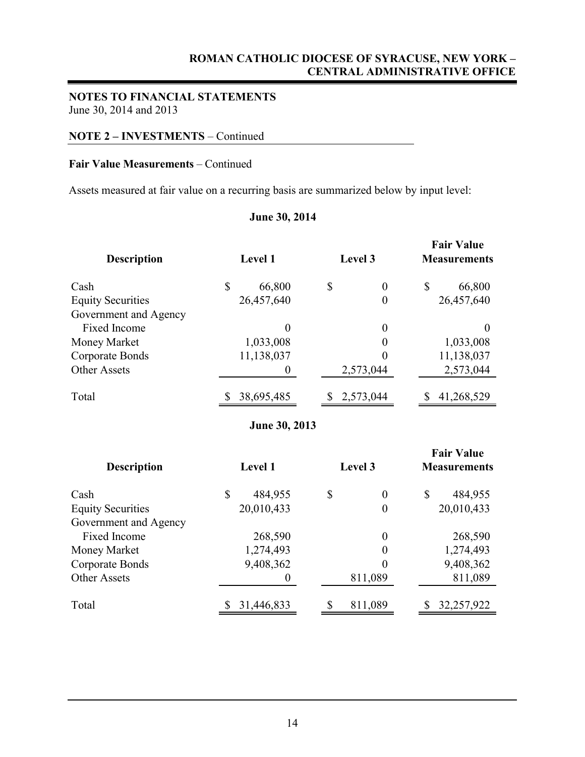**Fair Value**

# **NOTES TO FINANCIAL STATEMENTS**

June 30, 2014 and 2013

## **NOTE 2 – INVESTMENTS** – Continued

### **Fair Value Measurements** – Continued

Assets measured at fair value on a recurring basis are summarized below by input level:

| <b>Description</b>       | Level 1                           | Level 3                          | <b>Measurements</b>                      |
|--------------------------|-----------------------------------|----------------------------------|------------------------------------------|
| Cash                     | $\overline{\mathbb{S}}$<br>66,800 | \$<br>$\theta$                   | $\mathbb{S}$<br>66,800                   |
| <b>Equity Securities</b> | 26,457,640                        | $\overline{0}$                   | 26,457,640                               |
| Government and Agency    |                                   |                                  |                                          |
| Fixed Income             | $\overline{0}$                    | $\theta$                         | $\theta$                                 |
| Money Market             | 1,033,008                         | $\theta$                         | 1,033,008                                |
| Corporate Bonds          | 11,138,037                        | 0                                | 11,138,037                               |
| <b>Other Assets</b>      | $\boldsymbol{0}$                  | 2,573,044                        | 2,573,044                                |
| Total                    | 38,695,485                        | 2,573,044                        | 41,268,529                               |
|                          | June 30, 2013                     |                                  |                                          |
|                          |                                   |                                  |                                          |
| <b>Description</b>       | Level 1                           | Level 3                          | <b>Fair Value</b><br><b>Measurements</b> |
| Cash                     | $\mathbf S$<br>484,955            | $\mathbb{S}$<br>$\boldsymbol{0}$ | $\mathbb{S}$<br>484,955                  |
| <b>Equity Securities</b> | 20,010,433                        | $\boldsymbol{0}$                 | 20,010,433                               |
| Government and Agency    |                                   |                                  |                                          |
| Fixed Income             | 268,590                           | $\theta$                         | 268,590                                  |
| Money Market             | 1,274,493                         | 0                                | 1,274,493                                |
| Corporate Bonds          | 9,408,362                         | 0                                | 9,408,362                                |
| Other Assets             | $\boldsymbol{0}$                  | 811,089                          | 811,089                                  |

# **June 30, 2014**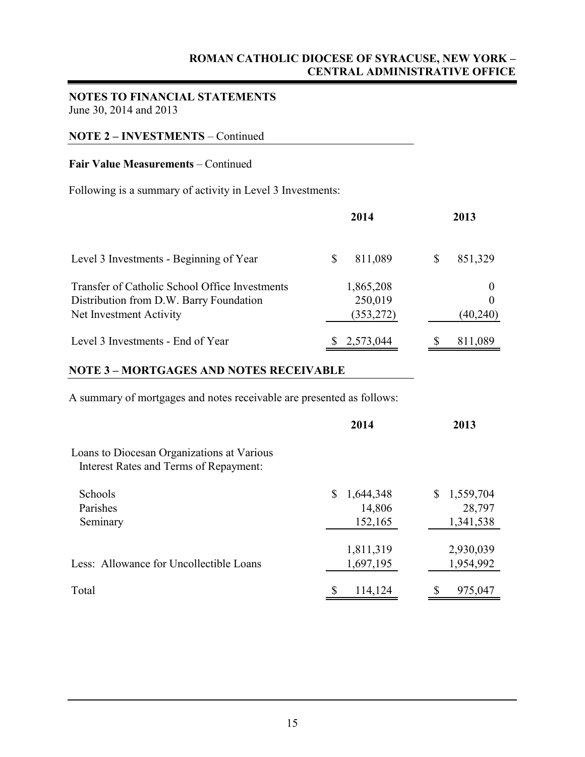# **NOTES TO FINANCIAL STATEMENTS**

June 30, 2014 and 2013

# **NOTE 2 – INVESTMENTS** – Continued

## **Fair Value Measurements** – Continued

Following is a summary of activity in Level 3 Investments:

|                                                                    |    | 2014                 |   | 2013      |  |
|--------------------------------------------------------------------|----|----------------------|---|-----------|--|
| Level 3 Investments - Beginning of Year                            | S. | 811,089              | S | 851,329   |  |
| Transfer of Catholic School Office Investments                     |    | 1,865,208<br>250,019 |   |           |  |
| Distribution from D.W. Barry Foundation<br>Net Investment Activity |    | (353, 272)           |   | (40, 240) |  |
| Level 3 Investments - End of Year                                  |    | 2,573,044            |   | 811,089   |  |

# **NOTE 3 – MORTGAGES AND NOTES RECEIVABLE**

A summary of mortgages and notes receivable are presented as follows:

|                                                                                      | 2014                                 | 2013                                   |
|--------------------------------------------------------------------------------------|--------------------------------------|----------------------------------------|
| Loans to Diocesan Organizations at Various<br>Interest Rates and Terms of Repayment: |                                      |                                        |
| Schools<br>Parishes<br>Seminary                                                      | 1,644,348<br>\$<br>14,806<br>152,165 | 1,559,704<br>\$<br>28,797<br>1,341,538 |
| Less: Allowance for Uncollectible Loans                                              | 1,811,319<br>1,697,195               | 2,930,039<br>1,954,992                 |
| Total                                                                                | 114,124                              | 975,047                                |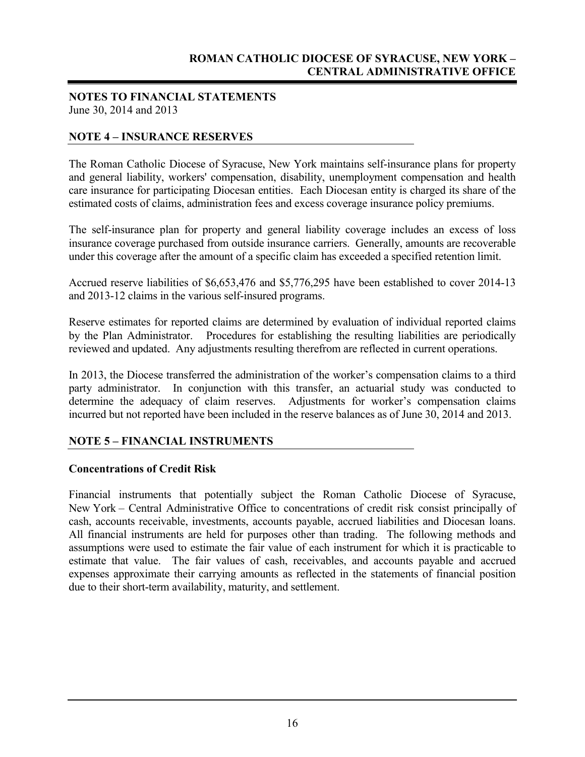### **NOTES TO FINANCIAL STATEMENTS** June 30, 2014 and 2013

# **NOTE 4 – INSURANCE RESERVES**

The Roman Catholic Diocese of Syracuse, New York maintains self-insurance plans for property and general liability, workers' compensation, disability, unemployment compensation and health care insurance for participating Diocesan entities. Each Diocesan entity is charged its share of the estimated costs of claims, administration fees and excess coverage insurance policy premiums.

The self-insurance plan for property and general liability coverage includes an excess of loss insurance coverage purchased from outside insurance carriers. Generally, amounts are recoverable under this coverage after the amount of a specific claim has exceeded a specified retention limit.

Accrued reserve liabilities of \$6,653,476 and \$5,776,295 have been established to cover 2014-13 and 2013-12 claims in the various self-insured programs.

Reserve estimates for reported claims are determined by evaluation of individual reported claims by the Plan Administrator. Procedures for establishing the resulting liabilities are periodically reviewed and updated. Any adjustments resulting therefrom are reflected in current operations.

In 2013, the Diocese transferred the administration of the worker's compensation claims to a third party administrator. In conjunction with this transfer, an actuarial study was conducted to determine the adequacy of claim reserves. Adjustments for worker's compensation claims incurred but not reported have been included in the reserve balances as of June 30, 2014 and 2013.

# **NOTE 5 – FINANCIAL INSTRUMENTS**

# **Concentrations of Credit Risk**

Financial instruments that potentially subject the Roman Catholic Diocese of Syracuse, New York – Central Administrative Office to concentrations of credit risk consist principally of cash, accounts receivable, investments, accounts payable, accrued liabilities and Diocesan loans. All financial instruments are held for purposes other than trading. The following methods and assumptions were used to estimate the fair value of each instrument for which it is practicable to estimate that value. The fair values of cash, receivables, and accounts payable and accrued expenses approximate their carrying amounts as reflected in the statements of financial position due to their short-term availability, maturity, and settlement.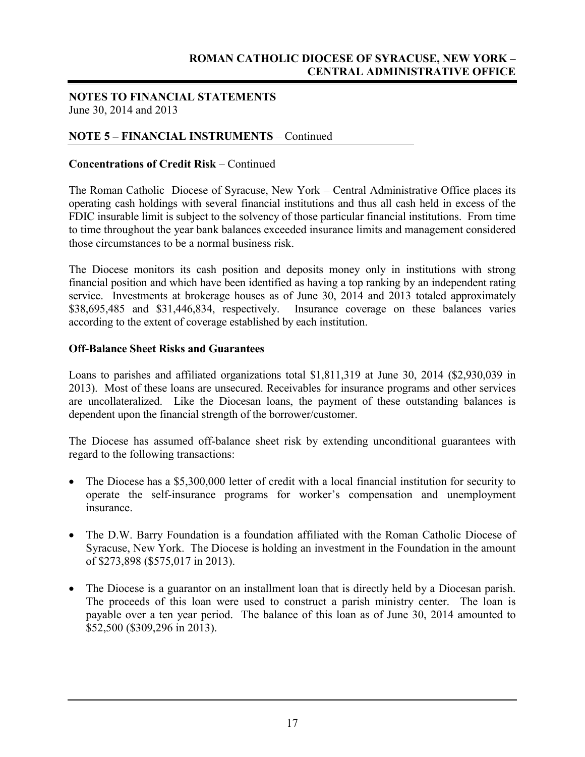### **NOTES TO FINANCIAL STATEMENTS** June 30, 2014 and 2013

# **NOTE 5 – FINANCIAL INSTRUMENTS** – Continued

### **Concentrations of Credit Risk** – Continued

The Roman Catholic Diocese of Syracuse, New York – Central Administrative Office places its operating cash holdings with several financial institutions and thus all cash held in excess of the FDIC insurable limit is subject to the solvency of those particular financial institutions. From time to time throughout the year bank balances exceeded insurance limits and management considered those circumstances to be a normal business risk.

The Diocese monitors its cash position and deposits money only in institutions with strong financial position and which have been identified as having a top ranking by an independent rating service. Investments at brokerage houses as of June 30, 2014 and 2013 totaled approximately \$38,695,485 and \$31,446,834, respectively. Insurance coverage on these balances varies according to the extent of coverage established by each institution.

### **Off-Balance Sheet Risks and Guarantees**

Loans to parishes and affiliated organizations total \$1,811,319 at June 30, 2014 (\$2,930,039 in 2013). Most of these loans are unsecured. Receivables for insurance programs and other services are uncollateralized. Like the Diocesan loans, the payment of these outstanding balances is dependent upon the financial strength of the borrower/customer.

The Diocese has assumed off-balance sheet risk by extending unconditional guarantees with regard to the following transactions:

- The Diocese has a \$5,300,000 letter of credit with a local financial institution for security to operate the self-insurance programs for worker's compensation and unemployment insurance.
- The D.W. Barry Foundation is a foundation affiliated with the Roman Catholic Diocese of Syracuse, New York. The Diocese is holding an investment in the Foundation in the amount of \$273,898 (\$575,017 in 2013).
- The Diocese is a guarantor on an installment loan that is directly held by a Diocesan parish. The proceeds of this loan were used to construct a parish ministry center. The loan is payable over a ten year period. The balance of this loan as of June 30, 2014 amounted to \$52,500 (\$309,296 in 2013).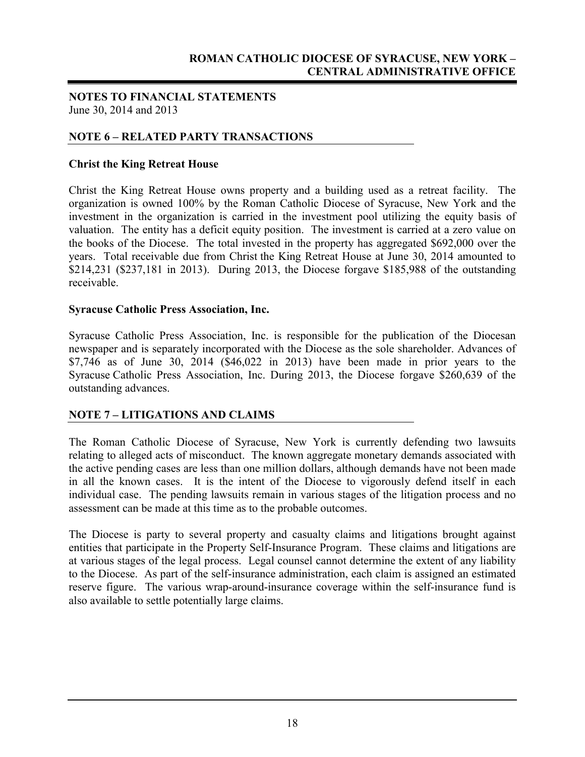### **NOTES TO FINANCIAL STATEMENTS** June 30, 2014 and 2013

# **NOTE 6 – RELATED PARTY TRANSACTIONS**

### **Christ the King Retreat House**

Christ the King Retreat House owns property and a building used as a retreat facility. The organization is owned 100% by the Roman Catholic Diocese of Syracuse, New York and the investment in the organization is carried in the investment pool utilizing the equity basis of valuation. The entity has a deficit equity position. The investment is carried at a zero value on the books of the Diocese. The total invested in the property has aggregated \$692,000 over the years. Total receivable due from Christ the King Retreat House at June 30, 2014 amounted to \$214,231 (\$237,181 in 2013). During 2013, the Diocese forgave \$185,988 of the outstanding receivable.

### **Syracuse Catholic Press Association, Inc.**

Syracuse Catholic Press Association, Inc. is responsible for the publication of the Diocesan newspaper and is separately incorporated with the Diocese as the sole shareholder. Advances of \$7,746 as of June 30, 2014 (\$46,022 in 2013) have been made in prior years to the Syracuse Catholic Press Association, Inc. During 2013, the Diocese forgave \$260,639 of the outstanding advances.

# **NOTE 7 – LITIGATIONS AND CLAIMS**

The Roman Catholic Diocese of Syracuse, New York is currently defending two lawsuits relating to alleged acts of misconduct. The known aggregate monetary demands associated with the active pending cases are less than one million dollars, although demands have not been made in all the known cases. It is the intent of the Diocese to vigorously defend itself in each individual case. The pending lawsuits remain in various stages of the litigation process and no assessment can be made at this time as to the probable outcomes.

The Diocese is party to several property and casualty claims and litigations brought against entities that participate in the Property Self-Insurance Program. These claims and litigations are at various stages of the legal process. Legal counsel cannot determine the extent of any liability to the Diocese. As part of the self-insurance administration, each claim is assigned an estimated reserve figure. The various wrap-around-insurance coverage within the self-insurance fund is also available to settle potentially large claims.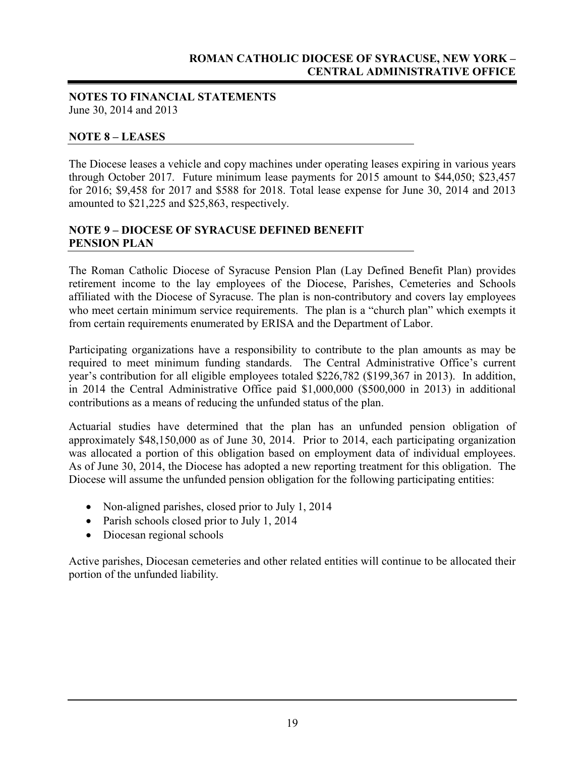### **NOTES TO FINANCIAL STATEMENTS** June 30, 2014 and 2013

# **NOTE 8 – LEASES**

The Diocese leases a vehicle and copy machines under operating leases expiring in various years through October 2017. Future minimum lease payments for 2015 amount to \$44,050; \$23,457 for 2016; \$9,458 for 2017 and \$588 for 2018. Total lease expense for June 30, 2014 and 2013 amounted to \$21,225 and \$25,863, respectively.

# **NOTE 9 – DIOCESE OF SYRACUSE DEFINED BENEFIT PENSION PLAN**

The Roman Catholic Diocese of Syracuse Pension Plan (Lay Defined Benefit Plan) provides retirement income to the lay employees of the Diocese, Parishes, Cemeteries and Schools affiliated with the Diocese of Syracuse. The plan is non-contributory and covers lay employees who meet certain minimum service requirements. The plan is a "church plan" which exempts it from certain requirements enumerated by ERISA and the Department of Labor.

Participating organizations have a responsibility to contribute to the plan amounts as may be required to meet minimum funding standards. The Central Administrative Office's current year's contribution for all eligible employees totaled \$226,782 (\$199,367 in 2013). In addition, in 2014 the Central Administrative Office paid \$1,000,000 (\$500,000 in 2013) in additional contributions as a means of reducing the unfunded status of the plan.

Actuarial studies have determined that the plan has an unfunded pension obligation of approximately \$48,150,000 as of June 30, 2014. Prior to 2014, each participating organization was allocated a portion of this obligation based on employment data of individual employees. As of June 30, 2014, the Diocese has adopted a new reporting treatment for this obligation. The Diocese will assume the unfunded pension obligation for the following participating entities:

- Non-aligned parishes, closed prior to July 1, 2014
- Parish schools closed prior to July 1, 2014
- Diocesan regional schools

Active parishes, Diocesan cemeteries and other related entities will continue to be allocated their portion of the unfunded liability.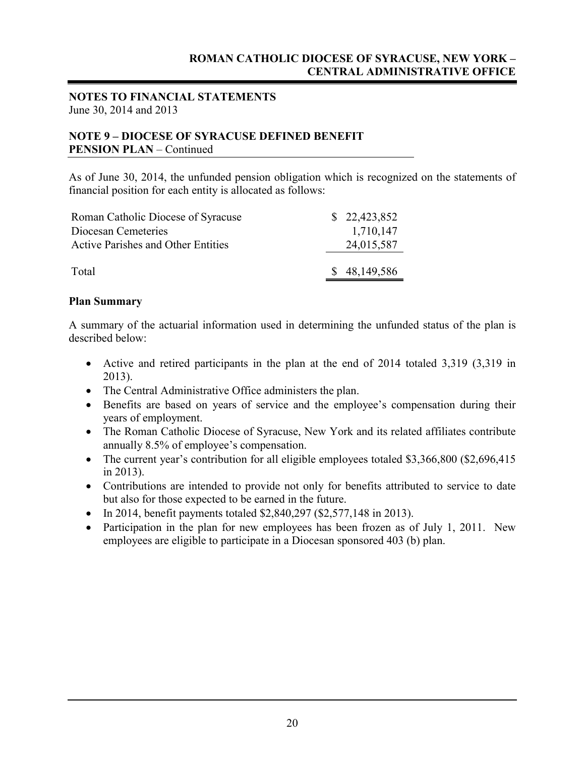### **NOTES TO FINANCIAL STATEMENTS** June 30, 2014 and 2013

### **NOTE 9 – DIOCESE OF SYRACUSE DEFINED BENEFIT PENSION PLAN** – Continued

As of June 30, 2014, the unfunded pension obligation which is recognized on the statements of financial position for each entity is allocated as follows:

| Roman Catholic Diocese of Syracuse        | \$22,423,852 |
|-------------------------------------------|--------------|
| Diocesan Cemeteries                       | 1,710,147    |
| <b>Active Parishes and Other Entities</b> | 24,015,587   |
|                                           |              |
| Total                                     | \$48,149,586 |

### **Plan Summary**

A summary of the actuarial information used in determining the unfunded status of the plan is described below:

- Active and retired participants in the plan at the end of 2014 totaled 3,319 (3,319 in 2013).
- The Central Administrative Office administers the plan.
- Benefits are based on years of service and the employee's compensation during their years of employment.
- The Roman Catholic Diocese of Syracuse, New York and its related affiliates contribute annually 8.5% of employee's compensation.
- The current year's contribution for all eligible employees totaled \$3,366,800 (\$2,696,415) in 2013).
- Contributions are intended to provide not only for benefits attributed to service to date but also for those expected to be earned in the future.
- In 2014, benefit payments totaled \$2,840,297 (\$2,577,148 in 2013).
- Participation in the plan for new employees has been frozen as of July 1, 2011. New employees are eligible to participate in a Diocesan sponsored 403 (b) plan.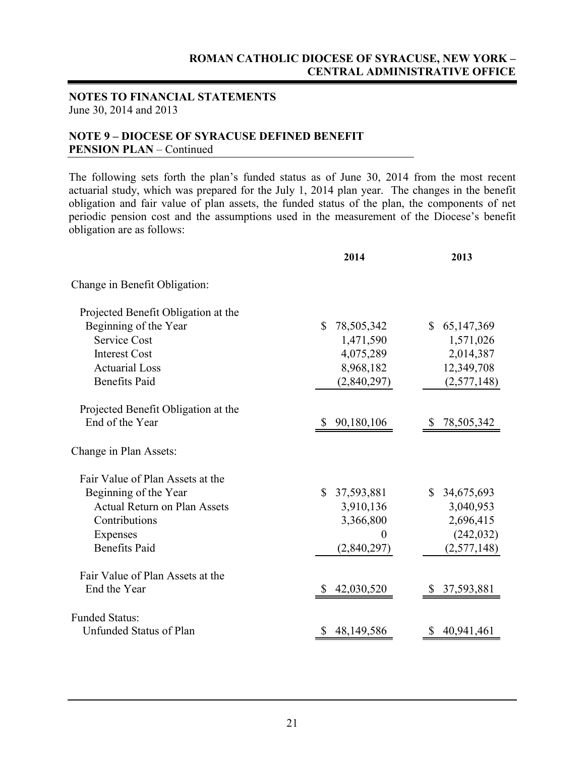### **NOTES TO FINANCIAL STATEMENTS** June 30, 2014 and 2013

### **NOTE 9 – DIOCESE OF SYRACUSE DEFINED BENEFIT PENSION PLAN** – Continued

The following sets forth the plan's funded status as of June 30, 2014 from the most recent actuarial study, which was prepared for the July 1, 2014 plan year. The changes in the benefit obligation and fair value of plan assets, the funded status of the plan, the components of net periodic pension cost and the assumptions used in the measurement of the Diocese's benefit obligation are as follows:

|                                     | 2014                       | 2013                           |
|-------------------------------------|----------------------------|--------------------------------|
| Change in Benefit Obligation:       |                            |                                |
| Projected Benefit Obligation at the |                            |                                |
| Beginning of the Year               | $\mathbb{S}$<br>78,505,342 | 65, 147, 369<br>$\mathbb{S}^-$ |
| <b>Service Cost</b>                 | 1,471,590                  | 1,571,026                      |
| <b>Interest Cost</b>                | 4,075,289                  | 2,014,387                      |
| <b>Actuarial Loss</b>               | 8,968,182                  | 12,349,708                     |
| <b>Benefits Paid</b>                | (2,840,297)                | (2,577,148)                    |
| Projected Benefit Obligation at the |                            |                                |
| End of the Year                     | 90,180,106<br>S.           | 78,505,342                     |
| Change in Plan Assets:              |                            |                                |
| Fair Value of Plan Assets at the    |                            |                                |
| Beginning of the Year               | $\mathbb{S}$<br>37,593,881 | 34,675,693<br>S.               |
| <b>Actual Return on Plan Assets</b> | 3,910,136                  | 3,040,953                      |
| Contributions                       | 3,366,800                  | 2,696,415                      |
| Expenses                            | $\overline{0}$             | (242, 032)                     |
| <b>Benefits Paid</b>                | (2,840,297)                | (2,577,148)                    |
| Fair Value of Plan Assets at the    |                            |                                |
| End the Year                        | 42,030,520                 | 37,593,881                     |
| <b>Funded Status:</b>               |                            |                                |
| Unfunded Status of Plan             | 48, 149, 586               | 40,941,461                     |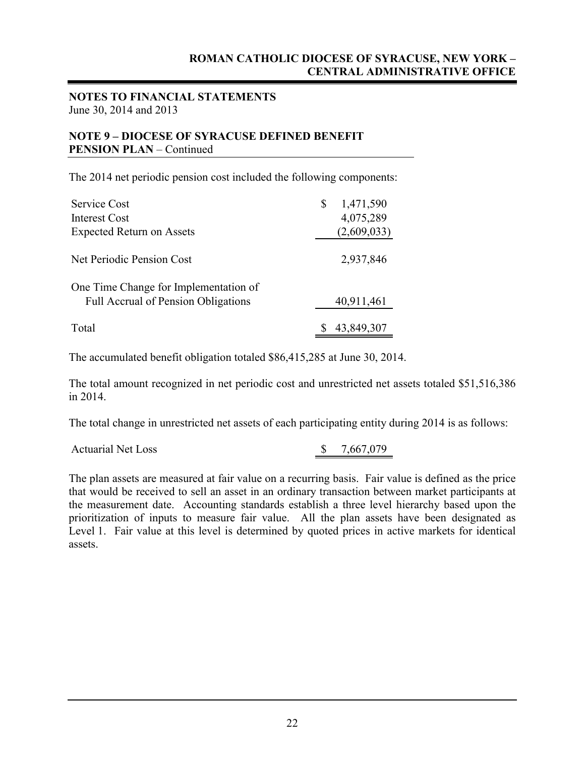### **NOTES TO FINANCIAL STATEMENTS** June 30, 2014 and 2013

### **NOTE 9 – DIOCESE OF SYRACUSE DEFINED BENEFIT PENSION PLAN** – Continued

The 2014 net periodic pension cost included the following components:

| Service Cost<br><b>Interest Cost</b><br><b>Expected Return on Assets</b>            | \$<br>1,471,590<br>4,075,289<br>(2,609,033) |
|-------------------------------------------------------------------------------------|---------------------------------------------|
| Net Periodic Pension Cost                                                           | 2,937,846                                   |
| One Time Change for Implementation of<br><b>Full Accrual of Pension Obligations</b> | 40,911,461                                  |
| Total                                                                               | 43,849,307                                  |

The accumulated benefit obligation totaled \$86,415,285 at June 30, 2014.

The total amount recognized in net periodic cost and unrestricted net assets totaled \$51,516,386 in 2014.

The total change in unrestricted net assets of each participating entity during 2014 is as follows:

Actuarial Net Loss \$ 7,667,079

The plan assets are measured at fair value on a recurring basis. Fair value is defined as the price that would be received to sell an asset in an ordinary transaction between market participants at the measurement date. Accounting standards establish a three level hierarchy based upon the prioritization of inputs to measure fair value. All the plan assets have been designated as Level 1. Fair value at this level is determined by quoted prices in active markets for identical assets.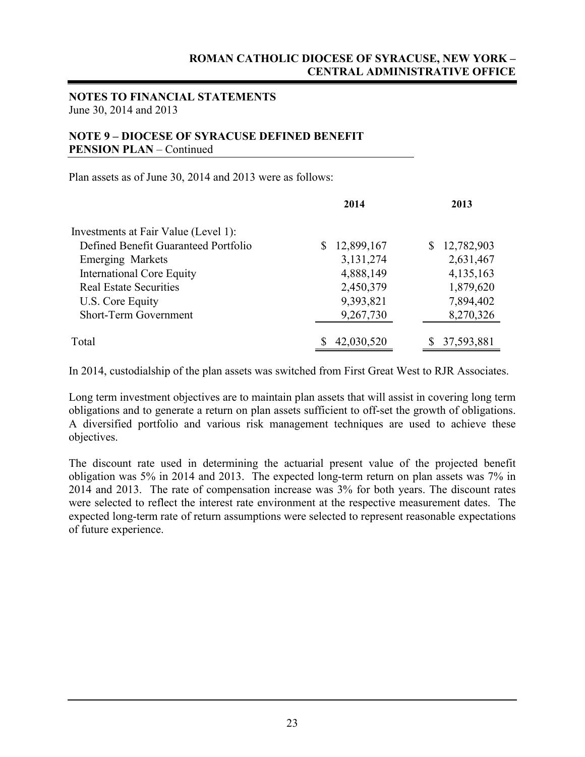### **NOTES TO FINANCIAL STATEMENTS** June 30, 2014 and 2013

### **NOTE 9 – DIOCESE OF SYRACUSE DEFINED BENEFIT PENSION PLAN** – Continued

Plan assets as of June 30, 2014 and 2013 were as follows:

|                                      | 2014            | 2013             |  |
|--------------------------------------|-----------------|------------------|--|
| Investments at Fair Value (Level 1): |                 |                  |  |
| Defined Benefit Guaranteed Portfolio | 12,899,167<br>S | 12,782,903<br>S. |  |
| Emerging Markets                     | 3,131,274       | 2,631,467        |  |
| <b>International Core Equity</b>     | 4,888,149       | 4, 135, 163      |  |
| <b>Real Estate Securities</b>        | 2,450,379       | 1,879,620        |  |
| U.S. Core Equity                     | 9,393,821       | 7,894,402        |  |
| Short-Term Government                | 9,267,730       | 8,270,326        |  |
| Total                                | 42,030,520      | \$ 37,593,881    |  |

In 2014, custodialship of the plan assets was switched from First Great West to RJR Associates.

Long term investment objectives are to maintain plan assets that will assist in covering long term obligations and to generate a return on plan assets sufficient to off-set the growth of obligations. A diversified portfolio and various risk management techniques are used to achieve these objectives.

The discount rate used in determining the actuarial present value of the projected benefit obligation was 5% in 2014 and 2013. The expected long-term return on plan assets was 7% in 2014 and 2013. The rate of compensation increase was 3% for both years. The discount rates were selected to reflect the interest rate environment at the respective measurement dates. The expected long-term rate of return assumptions were selected to represent reasonable expectations of future experience.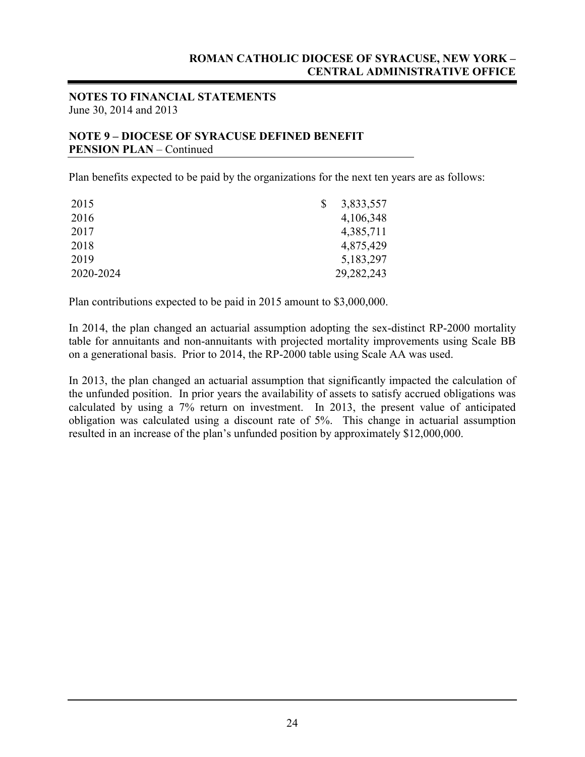## **NOTES TO FINANCIAL STATEMENTS** June 30, 2014 and 2013

### **NOTE 9 – DIOCESE OF SYRACUSE DEFINED BENEFIT PENSION PLAN** – Continued

Plan benefits expected to be paid by the organizations for the next ten years are as follows:

| 2015      | 3,833,557    |
|-----------|--------------|
| 2016      | 4,106,348    |
| 2017      | 4,385,711    |
| 2018      | 4,875,429    |
| 2019      | 5,183,297    |
| 2020-2024 | 29, 282, 243 |

Plan contributions expected to be paid in 2015 amount to \$3,000,000.

In 2014, the plan changed an actuarial assumption adopting the sex-distinct RP-2000 mortality table for annuitants and non-annuitants with projected mortality improvements using Scale BB on a generational basis. Prior to 2014, the RP-2000 table using Scale AA was used.

In 2013, the plan changed an actuarial assumption that significantly impacted the calculation of the unfunded position. In prior years the availability of assets to satisfy accrued obligations was calculated by using a 7% return on investment. In 2013, the present value of anticipated obligation was calculated using a discount rate of 5%. This change in actuarial assumption resulted in an increase of the plan's unfunded position by approximately \$12,000,000.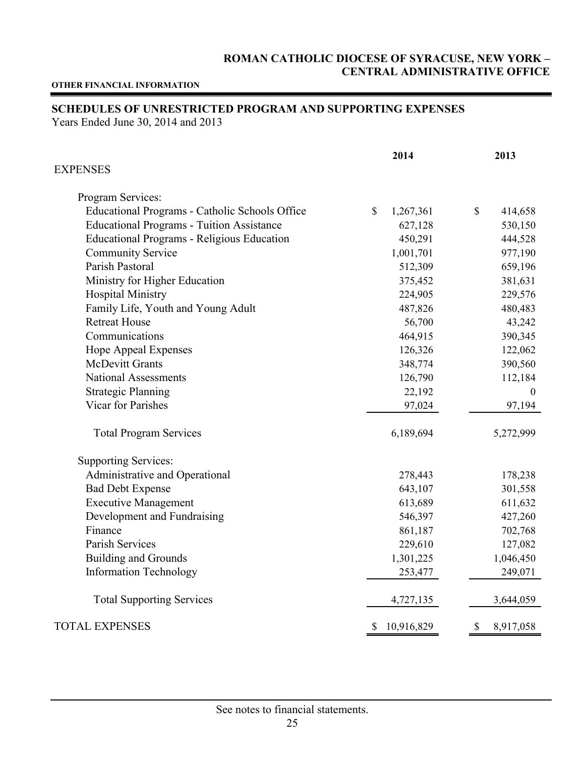#### **OTHER FINANCIAL INFORMATION**

# **SCHEDULES OF UNRESTRICTED PROGRAM AND SUPPORTING EXPENSES**

|                                                   | 2014             | 2013                                 |
|---------------------------------------------------|------------------|--------------------------------------|
| <b>EXPENSES</b>                                   |                  |                                      |
| Program Services:                                 |                  |                                      |
| Educational Programs - Catholic Schools Office    | \$<br>1,267,361  | $\boldsymbol{\mathsf{S}}$<br>414,658 |
| <b>Educational Programs - Tuition Assistance</b>  | 627,128          | 530,150                              |
| <b>Educational Programs - Religious Education</b> | 450,291          | 444,528                              |
| <b>Community Service</b>                          | 1,001,701        | 977,190                              |
| Parish Pastoral                                   | 512,309          | 659,196                              |
| Ministry for Higher Education                     | 375,452          | 381,631                              |
| <b>Hospital Ministry</b>                          | 224,905          | 229,576                              |
| Family Life, Youth and Young Adult                | 487,826          | 480,483                              |
| <b>Retreat House</b>                              | 56,700           | 43,242                               |
| Communications                                    | 464,915          | 390,345                              |
| <b>Hope Appeal Expenses</b>                       | 126,326          | 122,062                              |
| <b>McDevitt Grants</b>                            | 348,774          | 390,560                              |
| <b>National Assessments</b>                       | 126,790          | 112,184                              |
| <b>Strategic Planning</b>                         | 22,192           | $\boldsymbol{0}$                     |
| Vicar for Parishes                                | 97,024           | 97,194                               |
| <b>Total Program Services</b>                     | 6,189,694        | 5,272,999                            |
| <b>Supporting Services:</b>                       |                  |                                      |
| Administrative and Operational                    | 278,443          | 178,238                              |
| <b>Bad Debt Expense</b>                           | 643,107          | 301,558                              |
| <b>Executive Management</b>                       | 613,689          | 611,632                              |
| Development and Fundraising                       | 546,397          | 427,260                              |
| Finance                                           | 861,187          | 702,768                              |
| Parish Services                                   | 229,610          | 127,082                              |
| <b>Building and Grounds</b>                       | 1,301,225        | 1,046,450                            |
| <b>Information Technology</b>                     | 253,477          | 249,071                              |
| <b>Total Supporting Services</b>                  | 4,727,135        | 3,644,059                            |
| <b>TOTAL EXPENSES</b>                             | 10,916,829<br>\$ | 8,917,058<br>\$                      |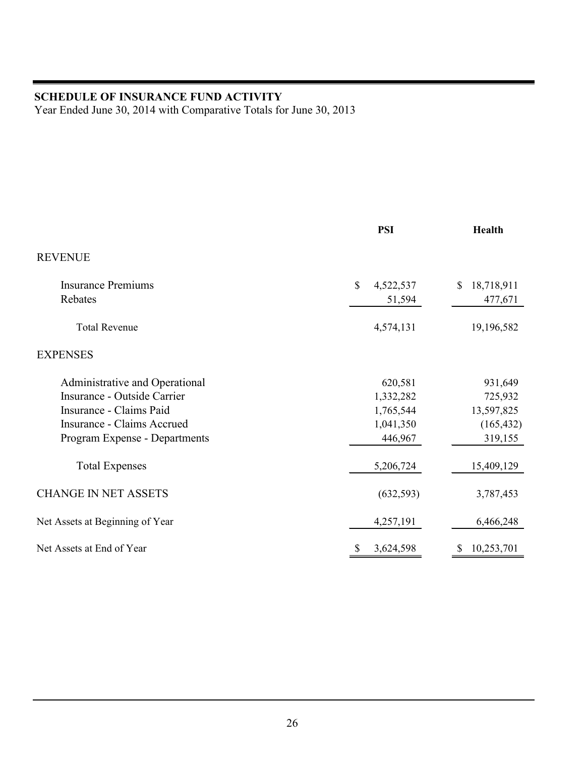# **SCHEDULE OF INSURANCE FUND ACTIVITY**

Year Ended June 30, 2014 with Comparative Totals for June 30, 2013

|                                      | <b>PSI</b>                | Health                      |
|--------------------------------------|---------------------------|-----------------------------|
| <b>REVENUE</b>                       |                           |                             |
| <b>Insurance Premiums</b><br>Rebates | \$<br>4,522,537<br>51,594 | 18,718,911<br>\$<br>477,671 |
| <b>Total Revenue</b>                 | 4,574,131                 | 19,196,582                  |
| <b>EXPENSES</b>                      |                           |                             |
| Administrative and Operational       | 620,581                   | 931,649                     |
| Insurance - Outside Carrier          | 1,332,282                 | 725,932                     |
| Insurance - Claims Paid              | 1,765,544                 | 13,597,825                  |
| Insurance - Claims Accrued           | 1,041,350                 | (165, 432)                  |
| Program Expense - Departments        | 446,967                   | 319,155                     |
| <b>Total Expenses</b>                | 5,206,724                 | 15,409,129                  |
| <b>CHANGE IN NET ASSETS</b>          | (632, 593)                | 3,787,453                   |
| Net Assets at Beginning of Year      | 4,257,191                 | 6,466,248                   |
| Net Assets at End of Year            | 3,624,598                 | 10,253,701                  |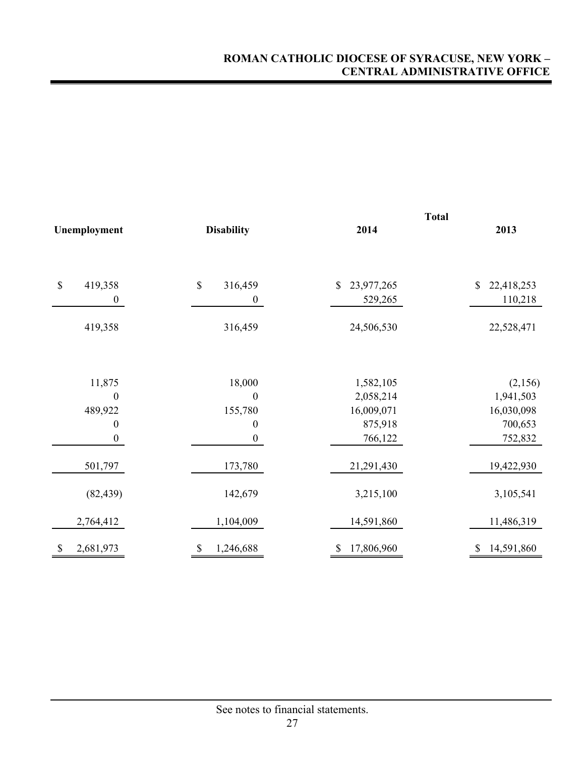|                                      |                             |                                    | <b>Total</b>                |
|--------------------------------------|-----------------------------|------------------------------------|-----------------------------|
| Unemployment                         | <b>Disability</b>           | 2014                               | 2013                        |
| $\$$<br>419,358<br>$\boldsymbol{0}$  | $\$$<br>316,459<br>0        | 23,977,265<br>\$<br>529,265        | \$<br>22,418,253<br>110,218 |
| 419,358                              | 316,459                     | 24,506,530                         | 22,528,471                  |
| 11,875                               | 18,000                      | 1,582,105                          | (2,156)                     |
| $\theta$<br>489,922                  | $\boldsymbol{0}$<br>155,780 | 2,058,214<br>16,009,071<br>875,918 | 1,941,503<br>16,030,098     |
| $\boldsymbol{0}$<br>$\boldsymbol{0}$ | 0<br>$\boldsymbol{0}$       | 766,122                            | 700,653<br>752,832          |
| 501,797                              | 173,780                     | 21,291,430                         | 19,422,930                  |
| (82, 439)                            | 142,679                     | 3,215,100                          | 3,105,541                   |
| 2,764,412                            | 1,104,009                   | 14,591,860                         | 11,486,319                  |
| 2,681,973<br>\$                      | 1,246,688<br>\$             | 17,806,960<br>\$                   | 14,591,860<br>\$            |